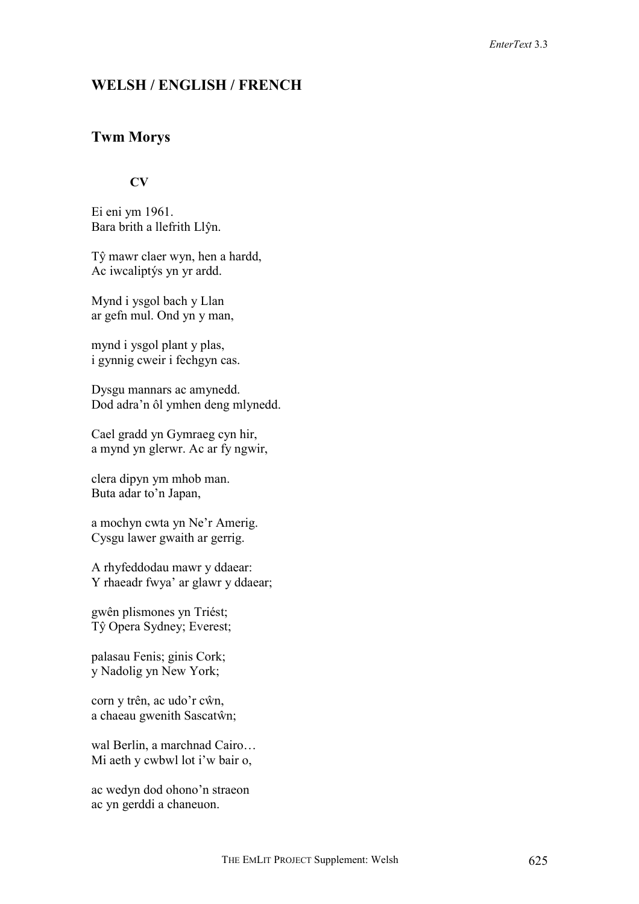# **WELSH / ENGLISH / FRENCH**

# **Twm Morys**

## **CV**

Ei eni ym 1961. Bara brith a llefrith Llŷn.

Tŷ mawr claer wyn, hen a hardd, Ac iwcaliptýs yn yr ardd.

Mynd i ysgol bach y Llan ar gefn mul. Ond yn y man,

mynd i ysgol plant y plas, i gynnig cweir i fechgyn cas.

Dysgu mannars ac amynedd. Dod adra'n ôl ymhen deng mlynedd.

Cael gradd yn Gymraeg cyn hir, a mynd yn glerwr. Ac ar fy ngwir,

clera dipyn ym mhob man. Buta adar to'n Japan,

a mochyn cwta yn Ne'r Amerig. Cysgu lawer gwaith ar gerrig.

A rhyfeddodau mawr y ddaear: Y rhaeadr fwya' ar glawr y ddaear;

gwên plismones yn Triést; Tŷ Opera Sydney; Everest;

palasau Fenis; ginis Cork; y Nadolig yn New York;

corn y trên, ac udo'r cŵn, a chaeau gwenith Sascatŵn;

wal Berlin, a marchnad Cairo… Mi aeth y cwbwl lot i'w bair o,

ac wedyn dod ohono'n straeon ac yn gerddi a chaneuon.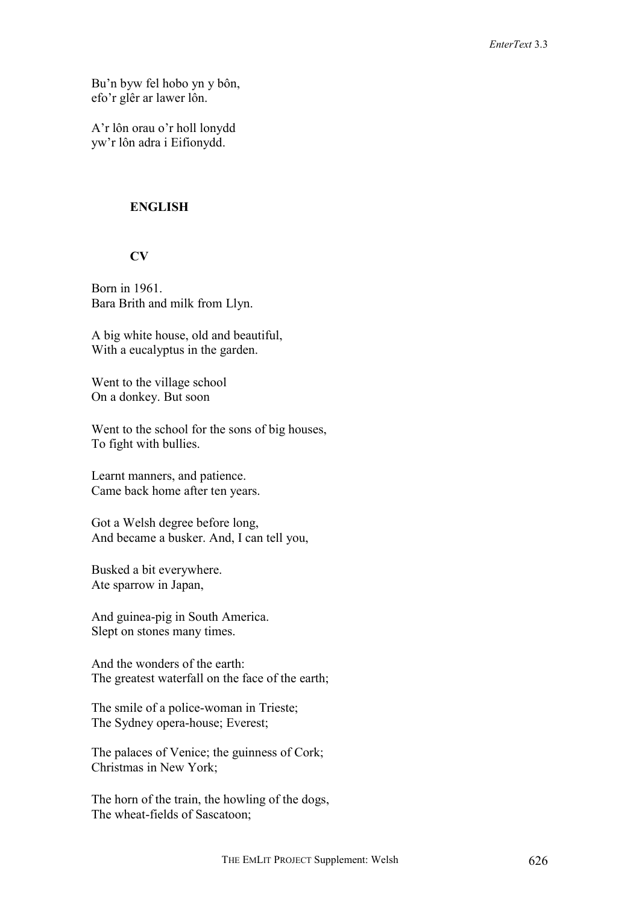Bu'n byw fel hobo yn y bôn, efo'r glêr ar lawer lôn.

A'r lôn orau o'r holl lonydd yw'r lôn adra i Eifionydd.

## **ENGLISH**

# **CV**

Born in 1961. Bara Brith and milk from Llyn.

A big white house, old and beautiful, With a eucalyptus in the garden.

Went to the village school On a donkey. But soon

Went to the school for the sons of big houses, To fight with bullies.

Learnt manners, and patience. Came back home after ten years.

Got a Welsh degree before long, And became a busker. And, I can tell you,

Busked a bit everywhere. Ate sparrow in Japan,

And guinea-pig in South America. Slept on stones many times.

And the wonders of the earth: The greatest waterfall on the face of the earth;

The smile of a police-woman in Trieste; The Sydney opera-house; Everest;

The palaces of Venice; the guinness of Cork; Christmas in New York;

The horn of the train, the howling of the dogs, The wheat-fields of Sascatoon;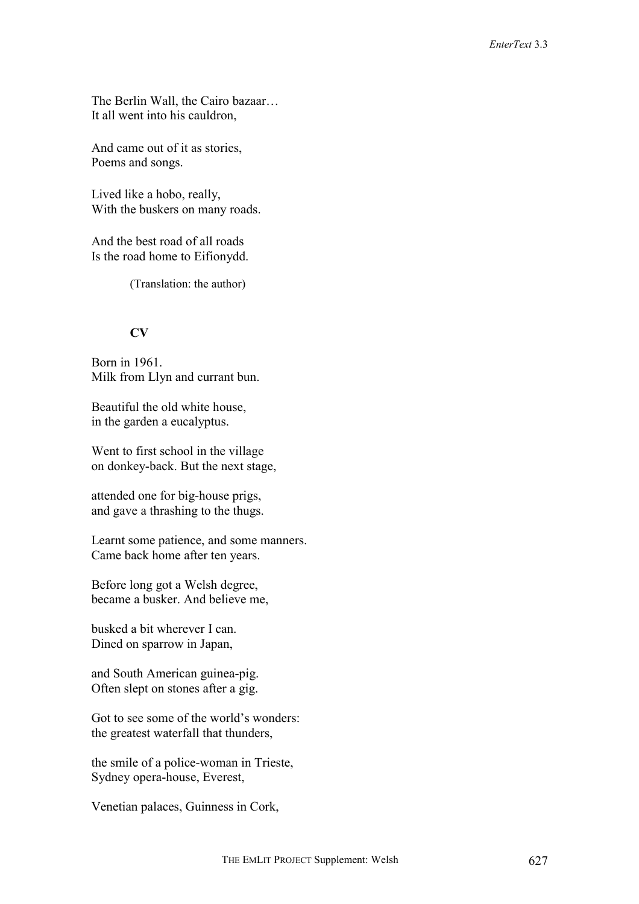The Berlin Wall, the Cairo bazaar… It all went into his cauldron,

And came out of it as stories, Poems and songs.

Lived like a hobo, really, With the buskers on many roads.

And the best road of all roads Is the road home to Eifionydd.

(Translation: the author)

# **CV**

Born in 1961. Milk from Llyn and currant bun.

Beautiful the old white house, in the garden a eucalyptus.

Went to first school in the village on donkey-back. But the next stage,

attended one for big-house prigs, and gave a thrashing to the thugs.

Learnt some patience, and some manners. Came back home after ten years.

Before long got a Welsh degree, became a busker. And believe me,

busked a bit wherever I can. Dined on sparrow in Japan,

and South American guinea-pig. Often slept on stones after a gig.

Got to see some of the world's wonders: the greatest waterfall that thunders,

the smile of a police-woman in Trieste, Sydney opera-house, Everest,

Venetian palaces, Guinness in Cork,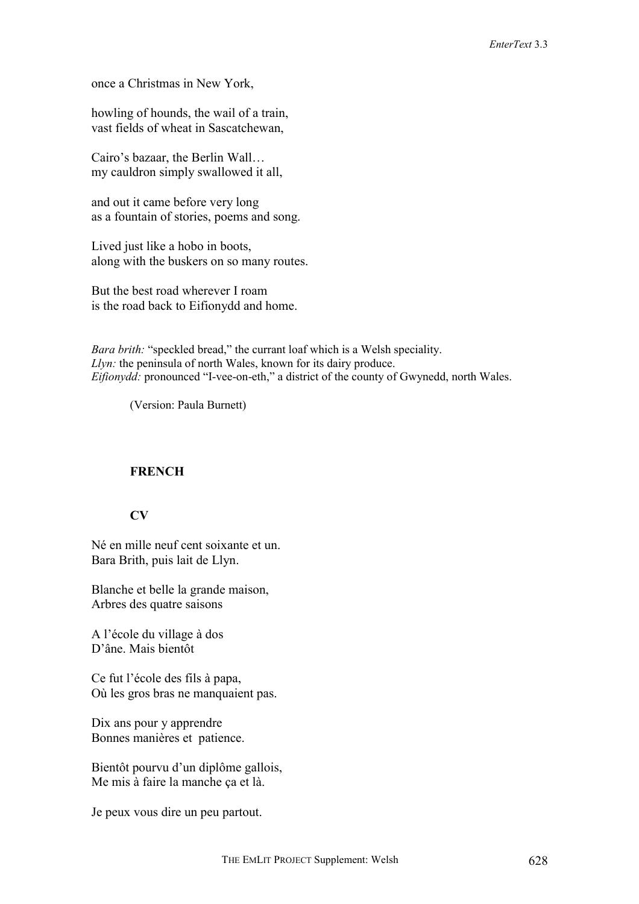once a Christmas in New York,

howling of hounds, the wail of a train, vast fields of wheat in Sascatchewan,

Cairo's bazaar, the Berlin Wall… my cauldron simply swallowed it all,

and out it came before very long as a fountain of stories, poems and song.

Lived just like a hobo in boots, along with the buskers on so many routes.

But the best road wherever I roam is the road back to Eifionydd and home.

*Bara brith:* "speckled bread," the currant loaf which is a Welsh speciality. *Llyn:* the peninsula of north Wales, known for its dairy produce. *Eifionydd:* pronounced "I-vee-on-eth," a district of the county of Gwynedd, north Wales.

(Version: Paula Burnett)

### **FRENCH**

## **CV**

Né en mille neuf cent soixante et un. Bara Brith, puis lait de Llyn.

Blanche et belle la grande maison, Arbres des quatre saisons

A l'école du village à dos D'âne. Mais bientôt

Ce fut l'école des fils à papa, Où les gros bras ne manquaient pas.

Dix ans pour y apprendre Bonnes manières et patience.

Bientôt pourvu d'un diplôme gallois, Me mis à faire la manche ça et là.

Je peux vous dire un peu partout.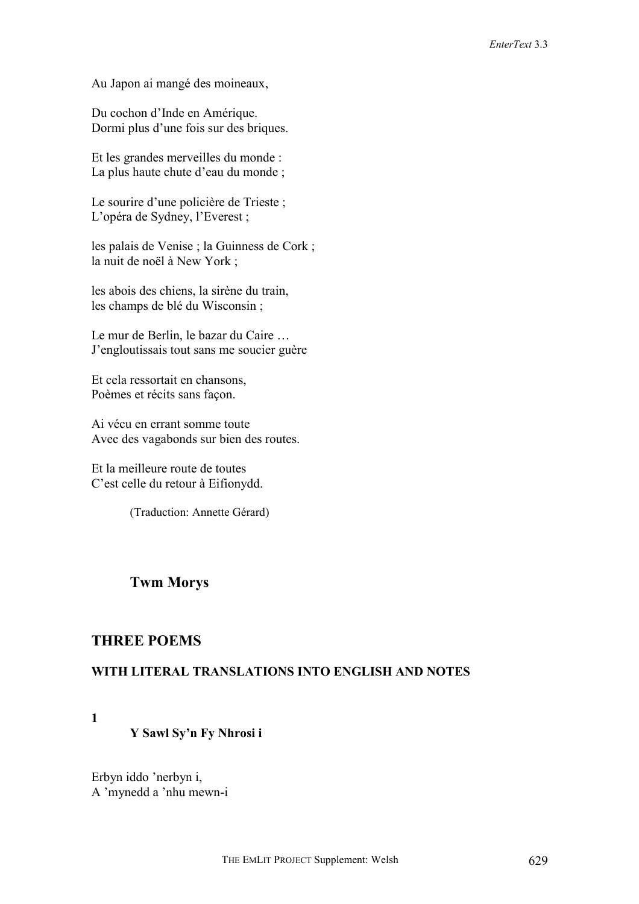Au Japon ai mangé des moineaux,

Du cochon d'Inde en Amérique. Dormi plus d'une fois sur des briques.

Et les grandes merveilles du monde : La plus haute chute d'eau du monde ;

Le sourire d'une policière de Trieste; L'opéra de Sydney, l'Everest ;

les palais de Venise ; la Guinness de Cork ; la nuit de noël à New York ;

les abois des chiens, la sirène du train, les champs de blé du Wisconsin ;

Le mur de Berlin, le bazar du Caire … J'engloutissais tout sans me soucier guère

Et cela ressortait en chansons, Poèmes et récits sans façon.

Ai vécu en errant somme toute Avec des vagabonds sur bien des routes.

Et la meilleure route de toutes C'est celle du retour à Eifionydd.

(Traduction: Annette Gérard)

# **Twm Morys**

# **THREE POEMS**

### **WITH LITERAL TRANSLATIONS INTO ENGLISH AND NOTES**

**1** 

### **Y Sawl Sy'n Fy Nhrosi i**

Erbyn iddo 'nerbyn i, A 'mynedd a 'nhu mewn-i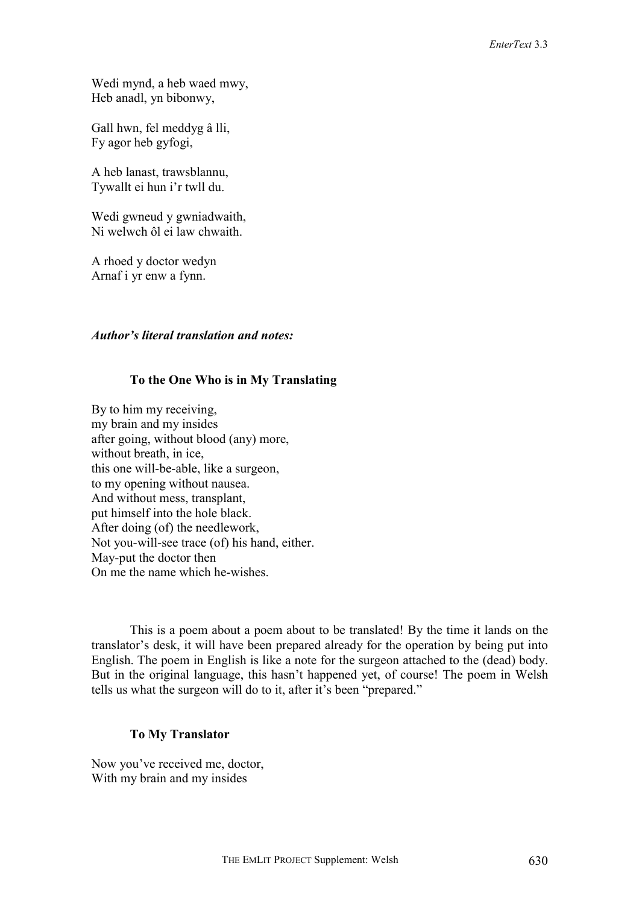Wedi mynd, a heb waed mwy, Heb anadl, yn bibonwy,

Gall hwn, fel meddyg â lli, Fy agor heb gyfogi,

A heb lanast, trawsblannu, Tywallt ei hun i'r twll du.

Wedi gwneud y gwniadwaith, Ni welwch ôl ei law chwaith.

A rhoed y doctor wedyn Arnaf i yr enw a fynn.

#### *Author's literal translation and notes:*

#### **To the One Who is in My Translating**

By to him my receiving, my brain and my insides after going, without blood (any) more, without breath, in ice, this one will-be-able, like a surgeon, to my opening without nausea. And without mess, transplant, put himself into the hole black. After doing (of) the needlework, Not you-will-see trace (of) his hand, either. May-put the doctor then On me the name which he-wishes.

This is a poem about a poem about to be translated! By the time it lands on the translator's desk, it will have been prepared already for the operation by being put into English. The poem in English is like a note for the surgeon attached to the (dead) body. But in the original language, this hasn't happened yet, of course! The poem in Welsh tells us what the surgeon will do to it, after it's been "prepared."

### **To My Translator**

Now you've received me, doctor, With my brain and my insides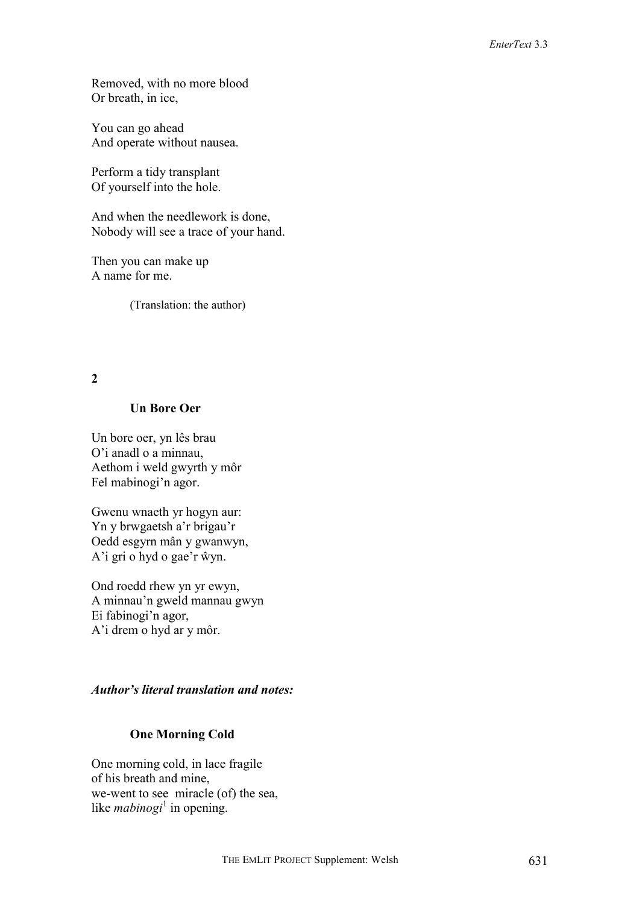Removed, with no more blood Or breath, in ice,

You can go ahead And operate without nausea.

Perform a tidy transplant Of yourself into the hole.

And when the needlework is done, Nobody will see a trace of your hand.

Then you can make up A name for me.

(Translation: the author)

**2** 

### **Un Bore Oer**

Un bore oer, yn lês brau O'i anadl o a minnau, Aethom i weld gwyrth y môr Fel mabinogi'n agor.

Gwenu wnaeth yr hogyn aur: Yn y brwgaetsh a'r brigau'r Oedd esgyrn mân y gwanwyn, A'i gri o hyd o gae'r ŵyn.

Ond roedd rhew yn yr ewyn, A minnau'n gweld mannau gwyn Ei fabinogi'n agor, A'i drem o hyd ar y môr.

# *Author's literal translation and notes:*

# **One Morning Cold**

One morning cold, in lace fragile of his breath and mine, we-went to see miracle (of) the sea, like *mabinogi*<sup>1</sup> in opening.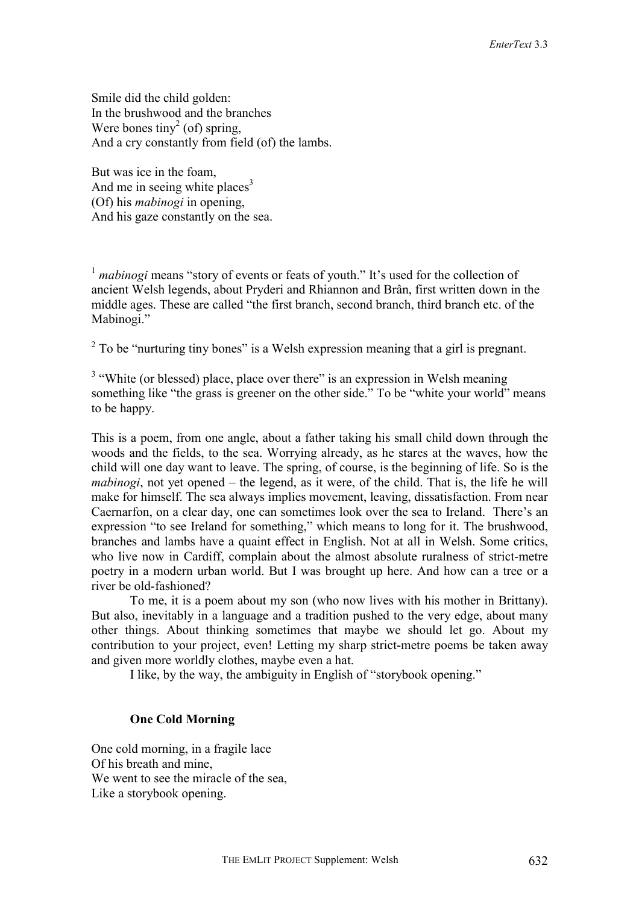Smile did the child golden: In the brushwood and the branches Were bones tiny<sup>2</sup> (of) spring, And a cry constantly from field (of) the lambs.

But was ice in the foam, And me in seeing white places<sup>3</sup> (Of) his *mabinogi* in opening, And his gaze constantly on the sea.

<sup>1</sup> *mabinogi* means "story of events or feats of youth." It's used for the collection of ancient Welsh legends, about Pryderi and Rhiannon and Brân, first written down in the middle ages. These are called "the first branch, second branch, third branch etc. of the Mabinogi."

 $2^2$  To be "nurturing tiny bones" is a Welsh expression meaning that a girl is pregnant.

 $3$  "White (or blessed) place, place over there" is an expression in Welsh meaning something like "the grass is greener on the other side." To be "white your world" means to be happy.

This is a poem, from one angle, about a father taking his small child down through the woods and the fields, to the sea. Worrying already, as he stares at the waves, how the child will one day want to leave. The spring, of course, is the beginning of life. So is the *mabinogi*, not yet opened – the legend, as it were, of the child. That is, the life he will make for himself. The sea always implies movement, leaving, dissatisfaction. From near Caernarfon, on a clear day, one can sometimes look over the sea to Ireland. There's an expression "to see Ireland for something," which means to long for it. The brushwood, branches and lambs have a quaint effect in English. Not at all in Welsh. Some critics, who live now in Cardiff, complain about the almost absolute ruralness of strict-metre poetry in a modern urban world. But I was brought up here. And how can a tree or a river be old-fashioned?

To me, it is a poem about my son (who now lives with his mother in Brittany). But also, inevitably in a language and a tradition pushed to the very edge, about many other things. About thinking sometimes that maybe we should let go. About my contribution to your project, even! Letting my sharp strict-metre poems be taken away and given more worldly clothes, maybe even a hat.

I like, by the way, the ambiguity in English of "storybook opening."

#### **One Cold Morning**

One cold morning, in a fragile lace Of his breath and mine, We went to see the miracle of the sea. Like a storybook opening.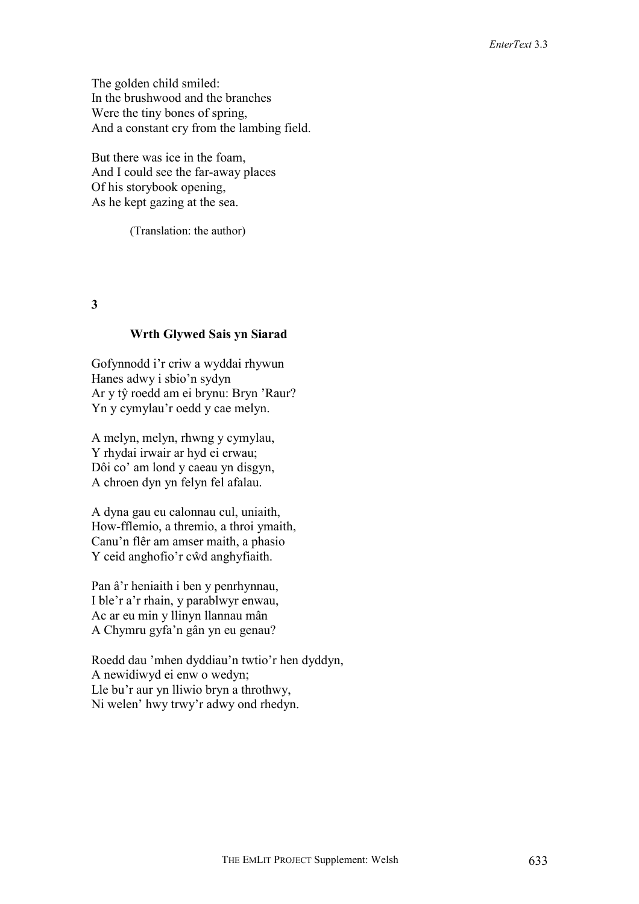The golden child smiled: In the brushwood and the branches Were the tiny bones of spring, And a constant cry from the lambing field.

But there was ice in the foam, And I could see the far-away places Of his storybook opening, As he kept gazing at the sea.

(Translation: the author)

**3** 

#### **Wrth Glywed Sais yn Siarad**

Gofynnodd i'r criw a wyddai rhywun Hanes adwy i sbio'n sydyn Ar y tŷ roedd am ei brynu: Bryn 'Raur? Yn y cymylau'r oedd y cae melyn.

A melyn, melyn, rhwng y cymylau, Y rhydai irwair ar hyd ei erwau; Dôi co' am lond y caeau yn disgyn, A chroen dyn yn felyn fel afalau.

A dyna gau eu calonnau cul, uniaith, How-fflemio, a thremio, a throi ymaith, Canu'n flêr am amser maith, a phasio Y ceid anghofio'r cŵd anghyfiaith.

Pan â'r heniaith i ben y penrhynnau, I ble'r a'r rhain, y parablwyr enwau, Ac ar eu min y llinyn llannau mân A Chymru gyfa'n gân yn eu genau?

Roedd dau 'mhen dyddiau'n twtio'r hen dyddyn, A newidiwyd ei enw o wedyn; Lle bu'r aur yn lliwio bryn a throthwy, Ni welen' hwy trwy'r adwy ond rhedyn.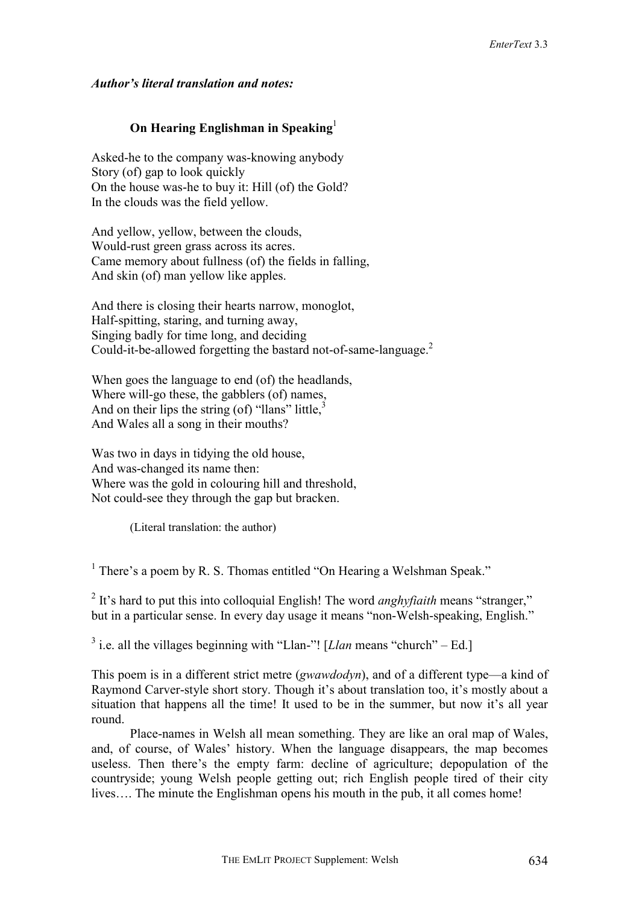### *Author's literal translation and notes:*

# **On Hearing Englishman in Speaking**<sup>1</sup>

Asked-he to the company was-knowing anybody Story (of) gap to look quickly On the house was-he to buy it: Hill (of) the Gold? In the clouds was the field yellow.

And yellow, yellow, between the clouds, Would-rust green grass across its acres. Came memory about fullness (of) the fields in falling, And skin (of) man yellow like apples.

And there is closing their hearts narrow, monoglot, Half-spitting, staring, and turning away, Singing badly for time long, and deciding Could-it-be-allowed forgetting the bastard not-of-same-language.<sup>2</sup>

When goes the language to end (of) the headlands, Where will-go these, the gabblers (of) names, And on their lips the string (of) "llans" little, $\frac{3}{2}$ And Wales all a song in their mouths?

Was two in days in tidying the old house, And was-changed its name then: Where was the gold in colouring hill and threshold, Not could-see they through the gap but bracken.

(Literal translation: the author)

 $<sup>1</sup>$  There's a poem by R. S. Thomas entitled "On Hearing a Welshman Speak."</sup>

<sup>2</sup> It's hard to put this into colloquial English! The word *anghyfiaith* means "stranger," but in a particular sense. In every day usage it means "non-Welsh-speaking, English."

<sup>3</sup> i.e. all the villages beginning with "Llan-"! [*Llan* means "church" – Ed.]

This poem is in a different strict metre (*gwawdodyn*), and of a different type—a kind of Raymond Carver-style short story. Though it's about translation too, it's mostly about a situation that happens all the time! It used to be in the summer, but now it's all year round.

Place-names in Welsh all mean something. They are like an oral map of Wales, and, of course, of Wales' history. When the language disappears, the map becomes useless. Then there's the empty farm: decline of agriculture; depopulation of the countryside; young Welsh people getting out; rich English people tired of their city lives…. The minute the Englishman opens his mouth in the pub, it all comes home!